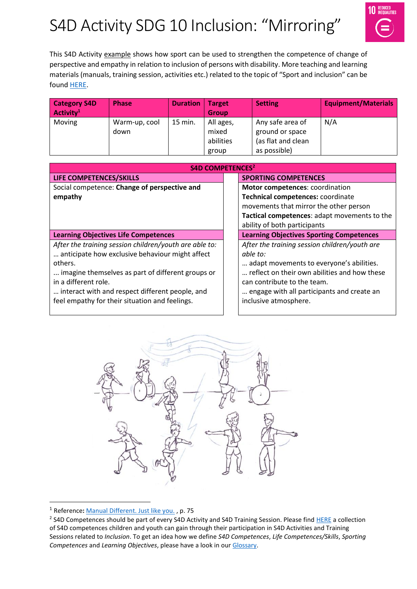# S4D Activity SDG 10 Inclusion: "Mirroring"



This S4D Activity example shows how sport can be used to strengthen the competence of change of perspective and empathy in relation to inclusion of persons with disability. More teaching and learning materials (manuals, training session, activities etc.) related to the topic of "Sport and inclusion" can be found [HERE.](https://www.sport-for-development.com/topic-collection?id=19#cat19)

| <b>Category S4D</b><br>Activity <sup>1</sup> | <b>Phase</b>          | <b>Duration</b> | <b>Target</b><br><b>Group</b>   | Setting/                                                  | <b>Equipment/Materials</b> |
|----------------------------------------------|-----------------------|-----------------|---------------------------------|-----------------------------------------------------------|----------------------------|
| Moving                                       | Warm-up, cool<br>down | 15 min.         | All ages,<br>mixed<br>abilities | Any safe area of<br>ground or space<br>(as flat and clean | N/A                        |
|                                              |                       |                 | group                           | as possible)                                              |                            |

| <b>S4D COMPETENCES<sup>2</sup></b>                     |                                                 |  |  |  |  |
|--------------------------------------------------------|-------------------------------------------------|--|--|--|--|
| LIFE COMPETENCES/SKILLS                                | <b>SPORTING COMPETENCES</b>                     |  |  |  |  |
| Social competence: Change of perspective and           | Motor competences: coordination                 |  |  |  |  |
| empathy                                                | Technical competences: coordinate               |  |  |  |  |
|                                                        | movements that mirror the other person          |  |  |  |  |
|                                                        | Tactical competences: adapt movements to the    |  |  |  |  |
|                                                        | ability of both participants                    |  |  |  |  |
| <b>Learning Objectives Life Competences</b>            | <b>Learning Objectives Sporting Competences</b> |  |  |  |  |
| After the training session children/youth are able to: | After the training session children/youth are   |  |  |  |  |
| anticipate how exclusive behaviour might affect        | able to:                                        |  |  |  |  |
| others.                                                | adapt movements to everyone's abilities.        |  |  |  |  |
| imagine themselves as part of different groups or      | reflect on their own abilities and how these    |  |  |  |  |
| in a different role.                                   | can contribute to the team.                     |  |  |  |  |
| interact with and respect different people, and        | engage with all participants and create an      |  |  |  |  |
| feel empathy for their situation and feelings.         | inclusive atmosphere.                           |  |  |  |  |
|                                                        |                                                 |  |  |  |  |



<sup>1</sup> Reference**:** [Manual Different. Just like you.](https://www.icsspe.org/sites/default/files/Different.%20Just%20like%20you.pdf) , p. 75

 $\overline{a}$ 

<sup>&</sup>lt;sup>2</sup> S4D Competences should be part of every S4D Activity and S4D Training Session. Please fin[d HERE](https://www.sport-for-development.com/imglib/downloads/Kompetenzen%20&%20IIFs/Competences%20Children%20&%20Youth%20FRENCH/ENGLISH/giz-dshs2022-en-sdg10-competences-children-and-youth-social-cohesion-and-inclusion.pdf) a collection of S4D competences children and youth can gain through their participation in S4D Activities and Training Sessions related to *Inclusion*. To get an idea how we define *S4D Competences*, *Life Competences/Skills*, *Sporting Competences* and *Learning Objectives*, please have a look in our [Glossary.](https://www.sport-for-development.com/imglib/downloads/Guidelines/giz-dshs2020-en-s4d-toolkit-glossary.pdf)